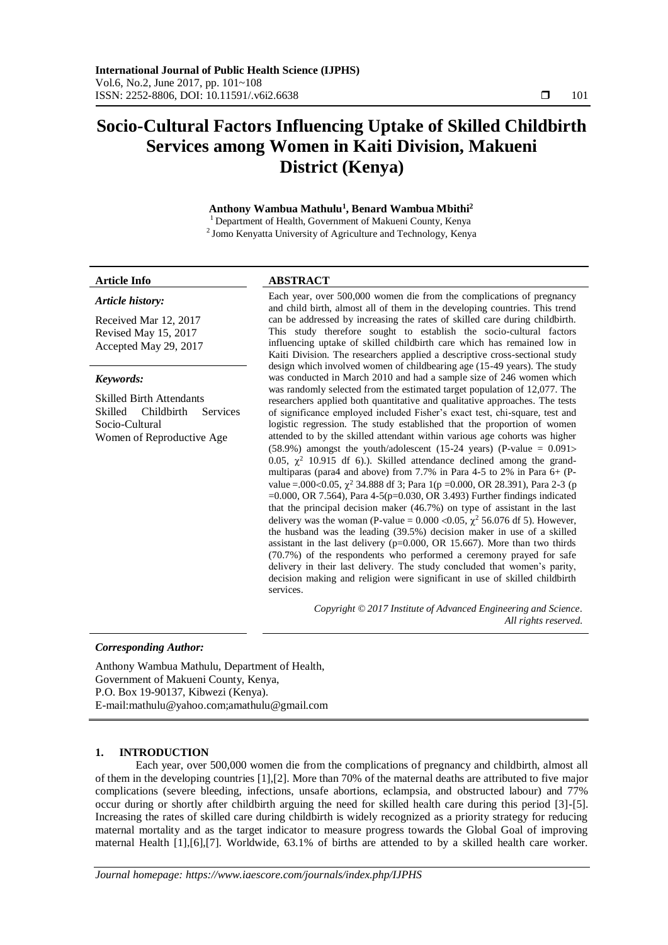# **Socio-Cultural Factors Influencing Uptake of Skilled Childbirth Services among Women in Kaiti Division, Makueni District (Kenya)**

# **Anthony Wambua Mathulu<sup>1</sup> , Benard Wambua Mbithi<sup>2</sup>**

Department of Health, Government of Makueni County, Kenya  $2$  Jomo Kenyatta University of Agriculture and Technology, Kenya

#### **Article Info ABSTRACT**

*Article history:*

| Received Mar 12, 2017<br>Revised May 15, 2017<br>Accepted May 29, 2017 | can be ad<br>This stu-<br>influencir<br>Kaiti Div |  |  |
|------------------------------------------------------------------------|---------------------------------------------------|--|--|
| Keywords:                                                              | design wh<br>was cond                             |  |  |
| <b>Skilled Birth Attendants</b><br>Skilled Childbirth Services         | was rando<br>researche<br>of signifi              |  |  |

Socio-Cultural Women of Reproductive Age

Each year, over 500,000 women die from the complications of pregnancy and child birth, almost all of them in the developing countries. This trend ddressed by increasing the rates of skilled care during childbirth. dy therefore sought to establish the socio-cultural factors ing uptake of skilled childbirth care which has remained low in ision. The researchers applied a descriptive cross-sectional study hich involved women of childbearing age (15-49 years). The study ucted in March 2010 and had a sample size of 246 women which omly selected from the estimated target population of 12,077. The ers applied both quantitative and qualitative approaches. The tests icance employed included Fisher's exact test, chi-square, test and logistic regression. The study established that the proportion of women attended to by the skilled attendant within various age cohorts was higher (58.9%) amongst the youth/adolescent (15-24 years) (P-value  $= 0.091$ > 0.05,  $\chi^2$  10.915 df 6).). Skilled attendance declined among the grandmultiparas (para4 and above) from 7.7% in Para 4-5 to 2% in Para 6+ (Pvalue = 0.00 < 0.05,  $\chi^2$  34.888 df 3; Para 1(p = 0.000, OR 28.391), Para 2-3 (p =0.000, OR 7.564), Para 4-5(p=0.030, OR 3.493) Further findings indicated that the principal decision maker (46.7%) on type of assistant in the last delivery was the woman (P-value =  $0.000 \le 0.05$ ,  $\chi^2$  56.076 df 5). However, the husband was the leading (39.5%) decision maker in use of a skilled assistant in the last delivery (p=0.000, OR 15.667). More than two thirds (70.7%) of the respondents who performed a ceremony prayed for safe delivery in their last delivery. The study concluded that women's parity, decision making and religion were significant in use of skilled childbirth services.

> *Copyright © 2017 Institute of Advanced Engineering and Science. All rights reserved.*

### *Corresponding Author:*

Anthony Wambua Mathulu, Department of Health, Government of Makueni County, Kenya, P.O. Box 19-90137, Kibwezi (Kenya). E-mail:mathulu@yahoo.com;amathulu@gmail.com

### **1. INTRODUCTION**

Each year, over 500,000 women die from the complications of pregnancy and childbirth, almost all of them in the developing countries [1],[2]. More than 70% of the maternal deaths are attributed to five major complications (severe bleeding, infections, unsafe abortions, eclampsia, and obstructed labour) and 77% occur during or shortly after childbirth arguing the need for skilled health care during this period [3]-[5]. Increasing the rates of skilled care during childbirth is widely recognized as a priority strategy for reducing maternal mortality and as the target indicator to measure progress towards the Global Goal of improving maternal Health [1],[6],[7]. Worldwide, 63.1% of births are attended to by a skilled health care worker.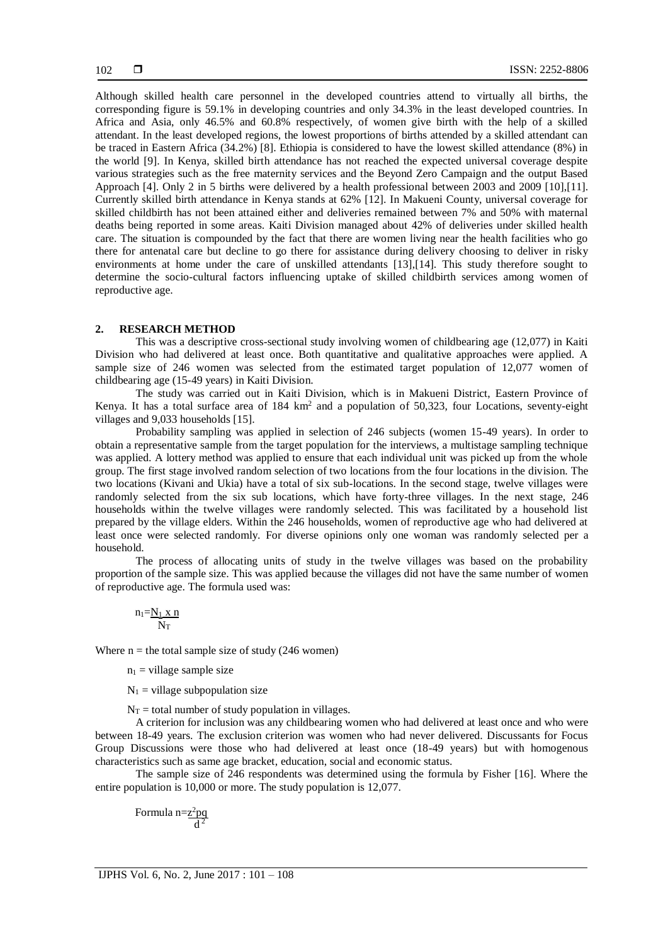Although skilled health care personnel in the developed countries attend to virtually all births, the corresponding figure is 59.1% in developing countries and only 34.3% in the least developed countries. In Africa and Asia, only 46.5% and 60.8% respectively, of women give birth with the help of a skilled attendant. In the least developed regions, the lowest proportions of births attended by a skilled attendant can be traced in Eastern Africa (34.2%) [8]. Ethiopia is considered to have the lowest skilled attendance (8%) in the world [9]. In Kenya, skilled birth attendance has not reached the expected universal coverage despite various strategies such as the free maternity services and the Beyond Zero Campaign and the output Based Approach [4]. Only 2 in 5 births were delivered by a health professional between 2003 and 2009 [10],[11]. Currently skilled birth attendance in Kenya stands at 62% [12]. In Makueni County, universal coverage for skilled childbirth has not been attained either and deliveries remained between 7% and 50% with maternal deaths being reported in some areas. Kaiti Division managed about 42% of deliveries under skilled health care. The situation is compounded by the fact that there are women living near the health facilities who go there for antenatal care but decline to go there for assistance during delivery choosing to deliver in risky environments at home under the care of unskilled attendants [13],[14]. This study therefore sought to determine the socio-cultural factors influencing uptake of skilled childbirth services among women of reproductive age.

#### **2. RESEARCH METHOD**

This was a descriptive cross-sectional study involving women of childbearing age (12,077) in Kaiti Division who had delivered at least once. Both quantitative and qualitative approaches were applied. A sample size of 246 women was selected from the estimated target population of 12,077 women of childbearing age (15-49 years) in Kaiti Division.

The study was carried out in Kaiti Division, which is in Makueni District, Eastern Province of Kenya. It has a total surface area of 184 km<sup>2</sup> and a population of 50,323, four Locations, seventy-eight villages and 9,033 households [15].

Probability sampling was applied in selection of 246 subjects (women 15-49 years). In order to obtain a representative sample from the target population for the interviews, a multistage sampling technique was applied. A lottery method was applied to ensure that each individual unit was picked up from the whole group. The first stage involved random selection of two locations from the four locations in the division. The two locations (Kivani and Ukia) have a total of six sub-locations. In the second stage, twelve villages were randomly selected from the six sub locations, which have forty-three villages. In the next stage, 246 households within the twelve villages were randomly selected. This was facilitated by a household list prepared by the village elders. Within the 246 households, women of reproductive age who had delivered at least once were selected randomly. For diverse opinions only one woman was randomly selected per a household.

The process of allocating units of study in the twelve villages was based on the probability proportion of the sample size. This was applied because the villages did not have the same number of women of reproductive age. The formula used was:

$$
\frac{n_1 = N_1 \; x \; n}{N_T}
$$

Where  $n =$  the total sample size of study (246 women)

 $n_1$  = village sample size

 $N_1$  = village subpopulation size

 $N_T$  = total number of study population in villages.

A criterion for inclusion was any childbearing women who had delivered at least once and who were between 18-49 years. The exclusion criterion was women who had never delivered. Discussants for Focus Group Discussions were those who had delivered at least once (18-49 years) but with homogenous characteristics such as same age bracket, education, social and economic status.

The sample size of 246 respondents was determined using the formula by Fisher [16]. Where the entire population is 10,000 or more. The study population is 12,077.

Formula n=z<sup>2</sup>pq  $\overline{d}^2$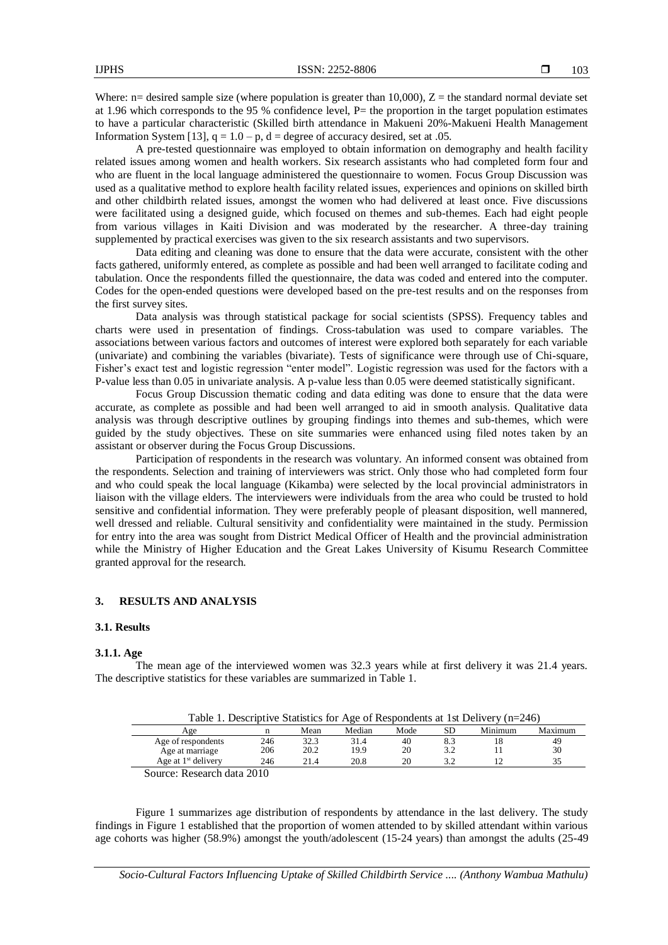Where:  $n=$  desired sample size (where population is greater than 10,000),  $Z =$  the standard normal deviate set at 1.96 which corresponds to the 95 % confidence level,  $P=$  the proportion in the target population estimates to have a particular characteristic (Skilled birth attendance in Makueni 20%-Makueni Health Management Information System [13],  $q = 1.0 - p$ ,  $d =$  degree of accuracy desired, set at .05.

A pre-tested questionnaire was employed to obtain information on demography and health facility related issues among women and health workers. Six research assistants who had completed form four and who are fluent in the local language administered the questionnaire to women. Focus Group Discussion was used as a qualitative method to explore health facility related issues, experiences and opinions on skilled birth and other childbirth related issues, amongst the women who had delivered at least once. Five discussions were facilitated using a designed guide, which focused on themes and sub-themes. Each had eight people from various villages in Kaiti Division and was moderated by the researcher. A three-day training supplemented by practical exercises was given to the six research assistants and two supervisors.

Data editing and cleaning was done to ensure that the data were accurate, consistent with the other facts gathered, uniformly entered, as complete as possible and had been well arranged to facilitate coding and tabulation. Once the respondents filled the questionnaire, the data was coded and entered into the computer. Codes for the open-ended questions were developed based on the pre-test results and on the responses from the first survey sites.

Data analysis was through statistical package for social scientists (SPSS). Frequency tables and charts were used in presentation of findings. Cross-tabulation was used to compare variables. The associations between various factors and outcomes of interest were explored both separately for each variable (univariate) and combining the variables (bivariate). Tests of significance were through use of Chi-square, Fisher's exact test and logistic regression "enter model". Logistic regression was used for the factors with a P-value less than 0.05 in univariate analysis. A p-value less than 0.05 were deemed statistically significant.

Focus Group Discussion thematic coding and data editing was done to ensure that the data were accurate, as complete as possible and had been well arranged to aid in smooth analysis. Qualitative data analysis was through descriptive outlines by grouping findings into themes and sub-themes, which were guided by the study objectives. These on site summaries were enhanced using filed notes taken by an assistant or observer during the Focus Group Discussions.

Participation of respondents in the research was voluntary. An informed consent was obtained from the respondents. Selection and training of interviewers was strict. Only those who had completed form four and who could speak the local language (Kikamba) were selected by the local provincial administrators in liaison with the village elders. The interviewers were individuals from the area who could be trusted to hold sensitive and confidential information. They were preferably people of pleasant disposition, well mannered, well dressed and reliable. Cultural sensitivity and confidentiality were maintained in the study. Permission for entry into the area was sought from District Medical Officer of Health and the provincial administration while the Ministry of Higher Education and the Great Lakes University of Kisumu Research Committee granted approval for the research.

#### **3. RESULTS AND ANALYSIS**

#### **3.1. Results**

#### **3.1.1. Age**

The mean age of the interviewed women was 32.3 years while at first delivery it was 21.4 years. The descriptive statistics for these variables are summarized in Table 1.

| Table 1. Descriptive Statistics for Age of Respondents at 1st Delivery (n=246) |  |  |  |
|--------------------------------------------------------------------------------|--|--|--|
|                                                                                |  |  |  |

| Age                                                  |     | Mean | Median | Mode | SD  | Minimum | Maximum |
|------------------------------------------------------|-----|------|--------|------|-----|---------|---------|
| Age of respondents                                   | 246 | 32.3 | 31.4   | 40   | 8.3 |         | 49      |
| Age at marriage                                      | 206 | 20.2 | 19.9   | 20   | 3.2 |         | 30      |
| Age at $1st$ delivery                                | 246 | 21.4 | 20.8   | 20   |     |         |         |
| $\mathcal{R}_{\text{source}}$ , Dessault data $2010$ |     |      |        |      |     |         |         |

Source: Research data 2010

Figure 1 summarizes age distribution of respondents by attendance in the last delivery. The study findings in Figure 1 established that the proportion of women attended to by skilled attendant within various age cohorts was higher (58.9%) amongst the youth/adolescent (15-24 years) than amongst the adults (25-49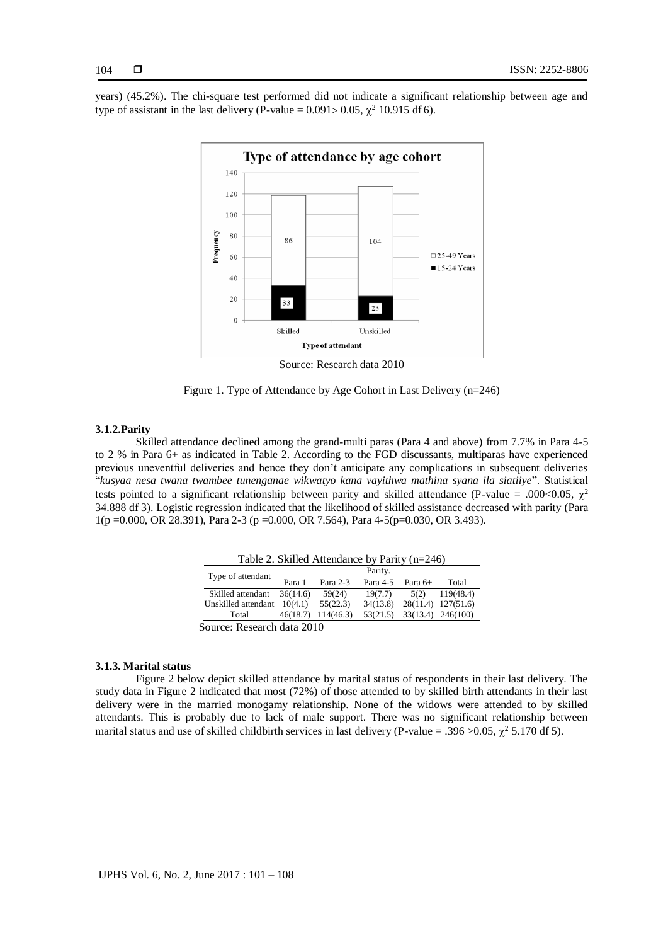years) (45.2%). The chi-square test performed did not indicate a significant relationship between age and type of assistant in the last delivery (P-value =  $0.091 > 0.05$ ,  $\chi^2$  10.915 df 6).



Source: Research data 2010

Figure 1. Type of Attendance by Age Cohort in Last Delivery (n=246)

#### **3.1.2.Parity**

Skilled attendance declined among the grand-multi paras (Para 4 and above) from 7.7% in Para 4-5 to 2 % in Para 6+ as indicated in Table 2. According to the FGD discussants, multiparas have experienced previous uneventful deliveries and hence they don't anticipate any complications in subsequent deliveries "*kusyaa nesa twana twambee tunenganae wikwatyo kana vayithwa mathina syana ila siatiiye*". Statistical tests pointed to a significant relationship between parity and skilled attendance (P-value = .000<0.05,  $\chi^2$ 34.888 df 3). Logistic regression indicated that the likelihood of skilled assistance decreased with parity (Para 1(p =0.000, OR 28.391), Para 2-3 (p =0.000, OR 7.564), Para 4-5(p=0.030, OR 3.493).

| Table 2. Skilled Attendance by Parity (n=246) |          |                    |          |           |                    |  |
|-----------------------------------------------|----------|--------------------|----------|-----------|--------------------|--|
| Type of attendant                             | Parity.  |                    |          |           |                    |  |
|                                               | Para 1   | Para 2-3           | Para 4-5 | Para $6+$ | Total              |  |
| Skilled attendant                             | 36(14.6) | 59(24)             | 19(7.7)  | 5(2)      | 119(48.4)          |  |
| Unskilled attendant                           | 10(4.1)  | 55(22.3)           | 34(13.8) |           | 28(11.4) 127(51.6) |  |
| Total                                         |          | 46(18.7) 114(46.3) | 53(21.5) |           | 33(13.4) 246(100)  |  |
| Source: Research data 2010                    |          |                    |          |           |                    |  |

#### **3.1.3. Marital status**

Figure 2 below depict skilled attendance by marital status of respondents in their last delivery. The study data in Figure 2 indicated that most (72%) of those attended to by skilled birth attendants in their last delivery were in the married monogamy relationship. None of the widows were attended to by skilled attendants. This is probably due to lack of male support. There was no significant relationship between marital status and use of skilled childbirth services in last delivery (P-value = .396 > 0.05,  $\chi^2$  5.170 df 5).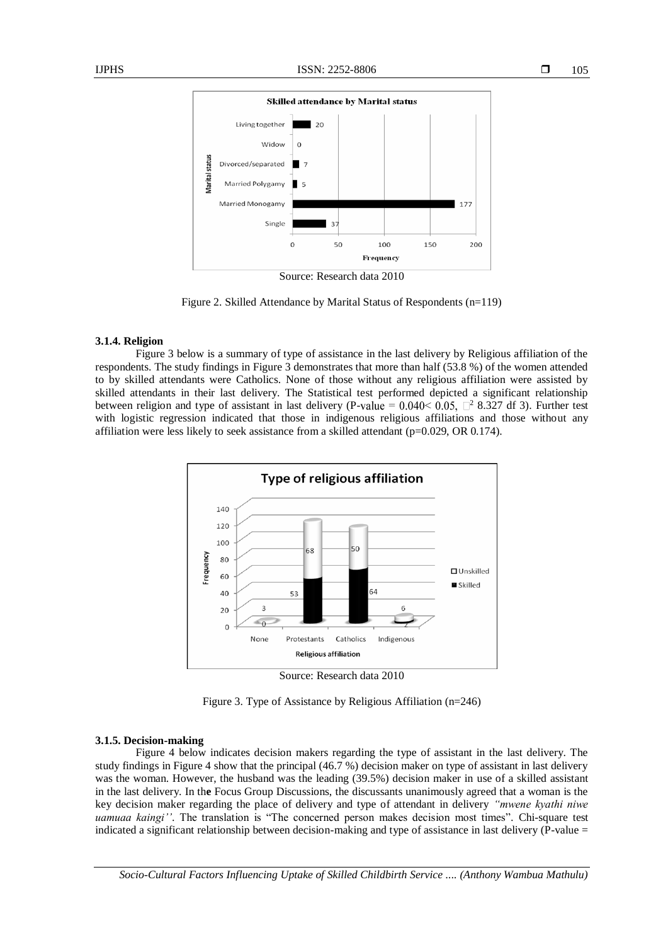

Figure 2. Skilled Attendance by Marital Status of Respondents (n=119)

#### **3.1.4. Religion**

Figure 3 below is a summary of type of assistance in the last delivery by Religious affiliation of the respondents. The study findings in Figure 3 demonstrates that more than half (53.8 %) of the women attended to by skilled attendants were Catholics. None of those without any religious affiliation were assisted by skilled attendants in their last delivery. The Statistical test performed depicted a significant relationship between religion and type of assistant in last delivery (P-value =  $0.040 \le 0.05$ ,  $\Box^2$  8.327 df 3). Further test with logistic regression indicated that those in indigenous religious affiliations and those without any affiliation were less likely to seek assistance from a skilled attendant ( $p=0.029$ , OR 0.174).



Source: Research data 2010

Figure 3. Type of Assistance by Religious Affiliation (n=246)

#### **3.1.5. Decision-making**

Figure 4 below indicates decision makers regarding the type of assistant in the last delivery. The study findings in Figure 4 show that the principal (46.7 %) decision maker on type of assistant in last delivery was the woman. However, the husband was the leading (39.5%) decision maker in use of a skilled assistant in the last delivery. In th**e** Focus Group Discussions, the discussants unanimously agreed that a woman is the key decision maker regarding the place of delivery and type of attendant in delivery *"mwene kyathi niwe uamuaa kaingi''*. The translation is "The concerned person makes decision most times"*.* Chi-square test indicated a significant relationship between decision-making and type of assistance in last delivery  $(\overline{P}-value)$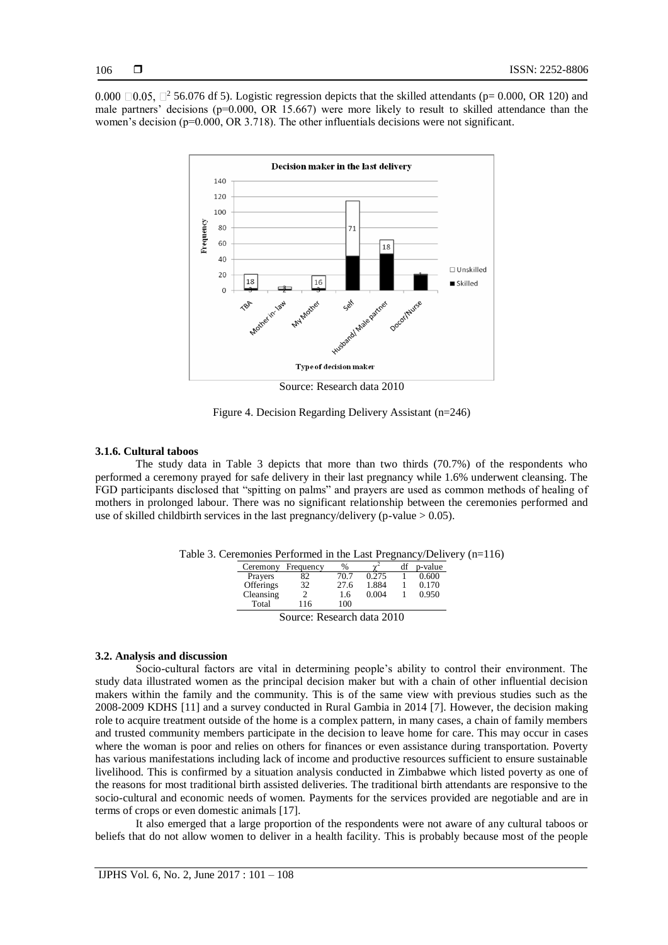0.000  $\Box$ 0.05,  $\Box$ <sup>2</sup> 56.076 df 5). Logistic regression depicts that the skilled attendants (p= 0.000, OR 120) and male partners' decisions ( $p=0.000$ , OR 15.667) were more likely to result to skilled attendance than the women's decision ( $p=0.000$ , OR 3.718). The other influentials decisions were not significant.



Figure 4. Decision Regarding Delivery Assistant (n=246)

#### **3.1.6. Cultural taboos**

The study data in Table 3 depicts that more than two thirds (70.7%) of the respondents who performed a ceremony prayed for safe delivery in their last pregnancy while 1.6% underwent cleansing. The FGD participants disclosed that "spitting on palms" and prayers are used as common methods of healing of mothers in prolonged labour. There was no significant relationship between the ceremonies performed and use of skilled childbirth services in the last pregnancy/delivery (p-value  $> 0.05$ ).

| Ceremony  | Frequency | %    | $\sim$               | df | p-value |
|-----------|-----------|------|----------------------|----|---------|
| Prayers   | 82        | 70.7 | 0.275                |    | 0.600   |
| Offerings | 32        | 27.6 | 1.884                |    | 0.170   |
| Cleansing |           | 1.6  | 0.004                |    | 0.950   |
| Total     | 116       | 100  |                      |    |         |
|           | r         |      | $\sim$ $\sim$ $\sim$ |    |         |

Source: Research data 2010

#### **3.2. Analysis and discussion**

Socio-cultural factors are vital in determining people's ability to control their environment. The study data illustrated women as the principal decision maker but with a chain of other influential decision makers within the family and the community. This is of the same view with previous studies such as the 2008-2009 KDHS [11] and a survey conducted in Rural Gambia in 2014 [7]. However, the decision making role to acquire treatment outside of the home is a complex pattern, in many cases, a chain of family members and trusted community members participate in the decision to leave home for care. This may occur in cases where the woman is poor and relies on others for finances or even assistance during transportation. Poverty has various manifestations including lack of income and productive resources sufficient to ensure sustainable livelihood. This is confirmed by a situation analysis conducted in Zimbabwe which listed poverty as one of the reasons for most traditional birth assisted deliveries. The traditional birth attendants are responsive to the socio-cultural and economic needs of women. Payments for the services provided are negotiable and are in terms of crops or even domestic animals [17].

It also emerged that a large proportion of the respondents were not aware of any cultural taboos or beliefs that do not allow women to deliver in a health facility. This is probably because most of the people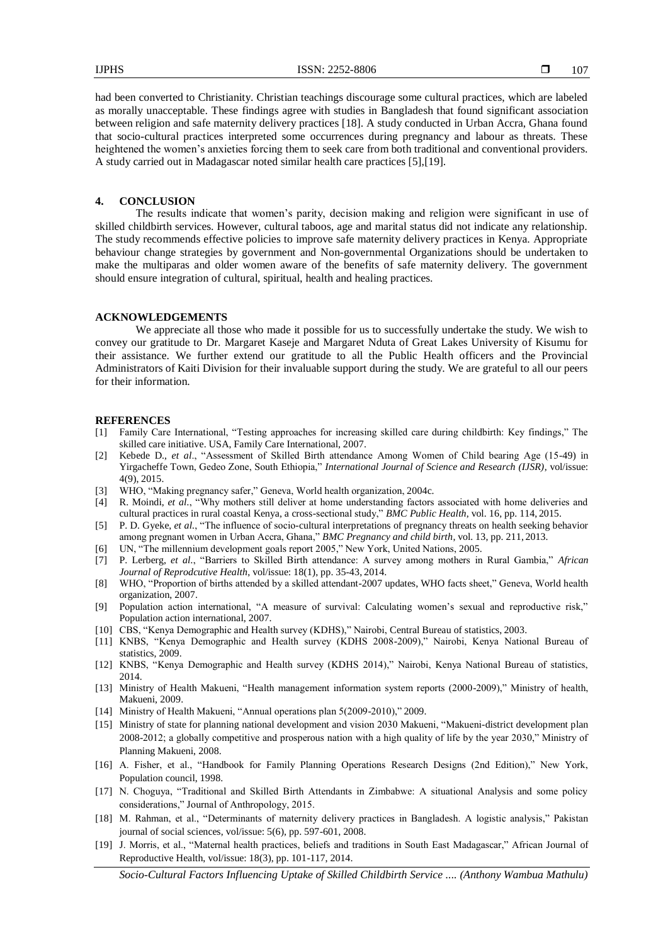had been converted to Christianity. Christian teachings discourage some cultural practices, which are labeled as morally unacceptable. These findings agree with studies in Bangladesh that found significant association between religion and safe maternity delivery practices [18]. A study conducted in Urban Accra, Ghana found that socio-cultural practices interpreted some occurrences during pregnancy and labour as threats. These heightened the women's anxieties forcing them to seek care from both traditional and conventional providers. A study carried out in Madagascar noted similar health care practices [5],[19].

#### **4. CONCLUSION**

The results indicate that women's parity, decision making and religion were significant in use of skilled childbirth services. However, cultural taboos, age and marital status did not indicate any relationship. The study recommends effective policies to improve safe maternity delivery practices in Kenya. Appropriate behaviour change strategies by government and Non-governmental Organizations should be undertaken to make the multiparas and older women aware of the benefits of safe maternity delivery. The government should ensure integration of cultural, spiritual, health and healing practices.

#### **ACKNOWLEDGEMENTS**

We appreciate all those who made it possible for us to successfully undertake the study. We wish to convey our gratitude to Dr. Margaret Kaseje and Margaret Nduta of Great Lakes University of Kisumu for their assistance. We further extend our gratitude to all the Public Health officers and the Provincial Administrators of Kaiti Division for their invaluable support during the study. We are grateful to all our peers for their information.

#### **REFERENCES**

- [1] Family Care International, "Testing approaches for increasing skilled care during childbirth: Key findings," The skilled care initiative. USA, Family Care International, 2007.
- [2] Kebede D., *et al*., "Assessment of Skilled Birth attendance Among Women of Child bearing Age (15-49) in Yirgacheffe Town, Gedeo Zone, South Ethiopia," *International Journal of Science and Research (IJSR)*, vol/issue: 4(9), 2015.
- [3] WHO, "Making pregnancy safer," Geneva, World health organization, 2004c.
- [4] R. Moindi, *et al.*, "Why mothers still deliver at home understanding factors associated with home deliveries and cultural practices in rural coastal Kenya, a cross-sectional study," *BMC Public Health*, vol. 16, pp. 114, 2015.
- [5] P. D. Gyeke, *et al.*, "The influence of socio-cultural interpretations of pregnancy threats on health seeking behavior among pregnant women in Urban Accra, Ghana," *BMC Pregnancy and child birth*, vol. 13, pp. 211, 2013.
- [6] UN, "The millennium development goals report 2005," New York, United Nations, 2005.
- [7] P. Lerberg, *et al.*, "Barriers to Skilled Birth attendance: A survey among mothers in Rural Gambia," *African Journal of Reprodcutive Health*, vol/issue: 18(1), pp. 35-43, 2014.
- [8] WHO, "Proportion of births attended by a skilled attendant-2007 updates, WHO facts sheet," Geneva, World health organization, 2007.
- [9] Population action international, "A measure of survival: Calculating women's sexual and reproductive risk," Population action international, 2007.
- [10] CBS, "Kenya Demographic and Health survey (KDHS)," Nairobi, Central Bureau of statistics, 2003.
- [11] KNBS, "Kenya Demographic and Health survey (KDHS 2008-2009)," Nairobi, Kenya National Bureau of statistics, 2009.
- [12] KNBS, "Kenya Demographic and Health survey (KDHS 2014)," Nairobi, Kenya National Bureau of statistics, 2014.
- [13] Ministry of Health Makueni, "Health management information system reports (2000-2009)," Ministry of health, Makueni, 2009.
- [14] Ministry of Health Makueni, "Annual operations plan 5(2009-2010)," 2009.
- [15] Ministry of state for planning national development and vision 2030 Makueni, "Makueni-district development plan 2008-2012; a globally competitive and prosperous nation with a high quality of life by the year 2030," Ministry of Planning Makueni, 2008.
- [16] A. Fisher, et al., "Handbook for Family Planning Operations Research Designs (2nd Edition)," New York, Population council, 1998.
- [17] N. Choguya, "Traditional and Skilled Birth Attendants in Zimbabwe: A situational Analysis and some policy considerations," Journal of Anthropology, 2015.
- [18] M. Rahman, et al., "Determinants of maternity delivery practices in Bangladesh. A logistic analysis," Pakistan journal of social sciences, vol/issue: 5(6), pp. 597-601, 2008.
- [19] J. Morris, et al., "Maternal health practices, beliefs and traditions in South East Madagascar," African Journal of Reproductive Health, vol/issue: 18(3), pp. 101-117, 2014.

*Socio-Cultural Factors Influencing Uptake of Skilled Childbirth Service .... (Anthony Wambua Mathulu)*